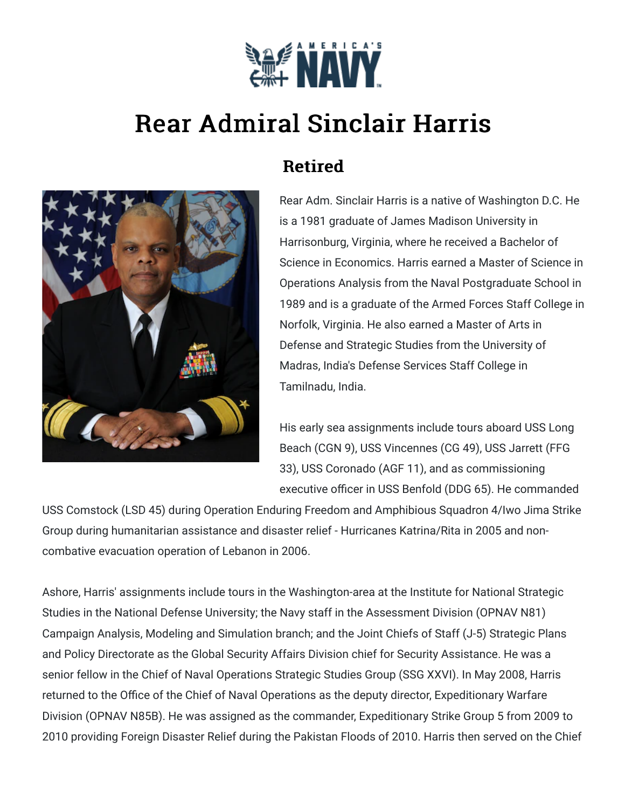

## Rear Admiral Sinclair Harris



## Retired

Rear Adm. Sinclair Harris is a native of Washington D.C. He is a 1981 graduate of James Madison University in Harrisonburg, Virginia, where he received a Bachelor of Science in Economics. Harris earned a Master of Science in Operations Analysis from the Naval Postgraduate School in 1989 and is a graduate of the Armed Forces Staff College in Norfolk, Virginia. He also earned a Master of Arts in Defense and Strategic Studies from the University of Madras, India's Defense Services Staff College in Tamilnadu, India.

His early sea assignments include tours aboard USS Long Beach (CGN 9), USS Vincennes (CG 49), USS Jarrett (FFG 33), USS Coronado (AGF 11), and as commissioning executive officer in USS Benfold (DDG 65). He commanded

USS Comstock (LSD 45) during Operation Enduring Freedom and Amphibious Squadron 4/Iwo Jima Strike Group during humanitarian assistance and disaster relief - Hurricanes Katrina/Rita in 2005 and noncombative evacuation operation of Lebanon in 2006.

Ashore, Harris' assignments include tours in the Washington-area at the Institute for National Strategic Studies in the National Defense University; the Navy staff in the Assessment Division (OPNAV N81) Campaign Analysis, Modeling and Simulation branch; and the Joint Chiefs of Staff (J-5) Strategic Plans and Policy Directorate as the Global Security Affairs Division chief for Security Assistance. He was a senior fellow in the Chief of Naval Operations Strategic Studies Group (SSG XXVI). In May 2008, Harris returned to the Office of the Chief of Naval Operations as the deputy director, Expeditionary Warfare Division (OPNAV N85B). He was assigned as the commander, Expeditionary Strike Group 5 from 2009 to 2010 providing Foreign Disaster Relief during the Pakistan Floods of 2010. Harris then served on the Chief